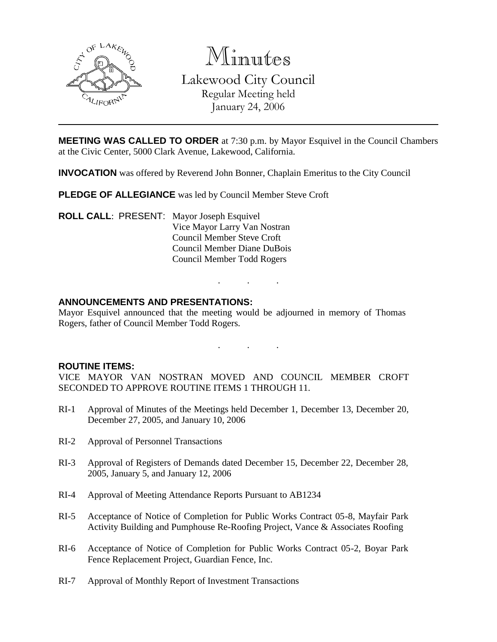

Minutes

Lakewood City Council Regular Meeting held January 24, 2006

**MEETING WAS CALLED TO ORDER** at 7:30 p.m. by Mayor Esquivel in the Council Chambers at the Civic Center, 5000 Clark Avenue, Lakewood, California.

**INVOCATION** was offered by Reverend John Bonner, Chaplain Emeritus to the City Council

**PLEDGE OF ALLEGIANCE** was led by Council Member Steve Croft

**ROLL CALL**: PRESENT: Mayor Joseph Esquivel Vice Mayor Larry Van Nostran Council Member Steve Croft Council Member Diane DuBois Council Member Todd Rogers

## **ANNOUNCEMENTS AND PRESENTATIONS:**

Mayor Esquivel announced that the meeting would be adjourned in memory of Thomas Rogers, father of Council Member Todd Rogers.

. . .

. . .

#### **ROUTINE ITEMS:**

VICE MAYOR VAN NOSTRAN MOVED AND COUNCIL MEMBER CROFT SECONDED TO APPROVE ROUTINE ITEMS 1 THROUGH 11.

- RI-1 Approval of Minutes of the Meetings held December 1, December 13, December 20, December 27, 2005, and January 10, 2006
- RI-2 Approval of Personnel Transactions
- RI-3 Approval of Registers of Demands dated December 15, December 22, December 28, 2005, January 5, and January 12, 2006
- RI-4 Approval of Meeting Attendance Reports Pursuant to AB1234
- RI-5 Acceptance of Notice of Completion for Public Works Contract 05-8, Mayfair Park Activity Building and Pumphouse Re-Roofing Project, Vance & Associates Roofing
- RI-6 Acceptance of Notice of Completion for Public Works Contract 05-2, Boyar Park Fence Replacement Project, Guardian Fence, Inc.
- RI-7 Approval of Monthly Report of Investment Transactions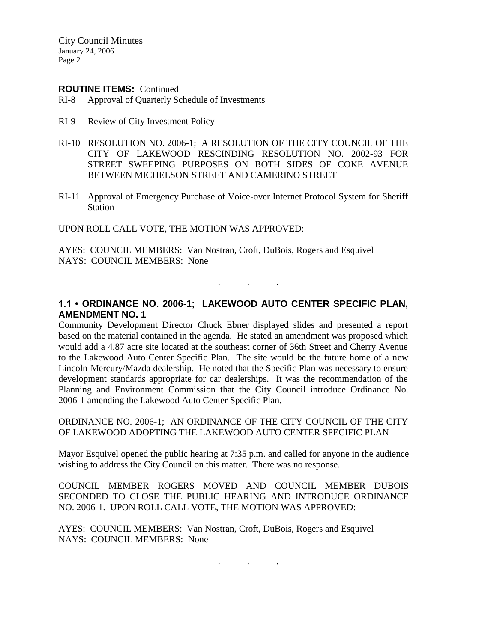#### **ROUTINE ITEMS:** Continued

- RI-8 Approval of Quarterly Schedule of Investments
- RI-9 Review of City Investment Policy
- RI-10 RESOLUTION NO. 2006-1; A RESOLUTION OF THE CITY COUNCIL OF THE CITY OF LAKEWOOD RESCINDING RESOLUTION NO. 2002-93 FOR STREET SWEEPING PURPOSES ON BOTH SIDES OF COKE AVENUE BETWEEN MICHELSON STREET AND CAMERINO STREET
- RI-11 Approval of Emergency Purchase of Voice-over Internet Protocol System for Sheriff Station

UPON ROLL CALL VOTE, THE MOTION WAS APPROVED:

AYES: COUNCIL MEMBERS: Van Nostran, Croft, DuBois, Rogers and Esquivel NAYS: COUNCIL MEMBERS: None

## **1.1 • ORDINANCE NO. 2006-1; LAKEWOOD AUTO CENTER SPECIFIC PLAN, AMENDMENT NO. 1**

. . .

Community Development Director Chuck Ebner displayed slides and presented a report based on the material contained in the agenda. He stated an amendment was proposed which would add a 4.87 acre site located at the southeast corner of 36th Street and Cherry Avenue to the Lakewood Auto Center Specific Plan. The site would be the future home of a new Lincoln-Mercury/Mazda dealership. He noted that the Specific Plan was necessary to ensure development standards appropriate for car dealerships. It was the recommendation of the Planning and Environment Commission that the City Council introduce Ordinance No. 2006-1 amending the Lakewood Auto Center Specific Plan.

ORDINANCE NO. 2006-1; AN ORDINANCE OF THE CITY COUNCIL OF THE CITY OF LAKEWOOD ADOPTING THE LAKEWOOD AUTO CENTER SPECIFIC PLAN

Mayor Esquivel opened the public hearing at 7:35 p.m. and called for anyone in the audience wishing to address the City Council on this matter. There was no response.

COUNCIL MEMBER ROGERS MOVED AND COUNCIL MEMBER DUBOIS SECONDED TO CLOSE THE PUBLIC HEARING AND INTRODUCE ORDINANCE NO. 2006-1. UPON ROLL CALL VOTE, THE MOTION WAS APPROVED:

. . .

AYES: COUNCIL MEMBERS: Van Nostran, Croft, DuBois, Rogers and Esquivel NAYS: COUNCIL MEMBERS: None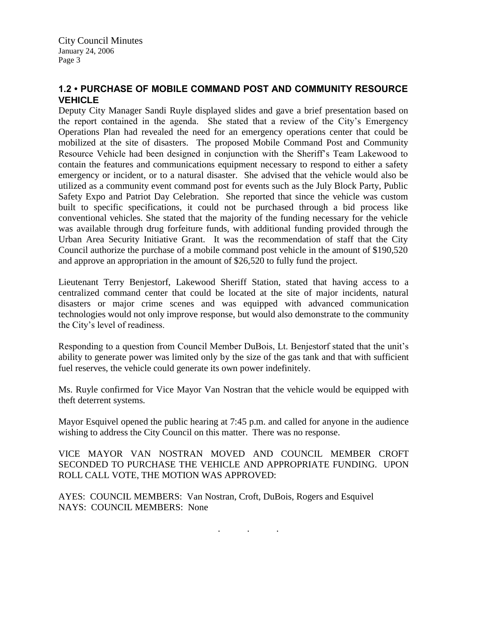# **1.2 • PURCHASE OF MOBILE COMMAND POST AND COMMUNITY RESOURCE VEHICLE**

Deputy City Manager Sandi Ruyle displayed slides and gave a brief presentation based on the report contained in the agenda. She stated that a review of the City's Emergency Operations Plan had revealed the need for an emergency operations center that could be mobilized at the site of disasters. The proposed Mobile Command Post and Community Resource Vehicle had been designed in conjunction with the Sheriff's Team Lakewood to contain the features and communications equipment necessary to respond to either a safety emergency or incident, or to a natural disaster. She advised that the vehicle would also be utilized as a community event command post for events such as the July Block Party, Public Safety Expo and Patriot Day Celebration. She reported that since the vehicle was custom built to specific specifications, it could not be purchased through a bid process like conventional vehicles. She stated that the majority of the funding necessary for the vehicle was available through drug forfeiture funds, with additional funding provided through the Urban Area Security Initiative Grant. It was the recommendation of staff that the City Council authorize the purchase of a mobile command post vehicle in the amount of \$190,520 and approve an appropriation in the amount of \$26,520 to fully fund the project.

Lieutenant Terry Benjestorf, Lakewood Sheriff Station, stated that having access to a centralized command center that could be located at the site of major incidents, natural disasters or major crime scenes and was equipped with advanced communication technologies would not only improve response, but would also demonstrate to the community the City's level of readiness.

Responding to a question from Council Member DuBois, Lt. Benjestorf stated that the unit's ability to generate power was limited only by the size of the gas tank and that with sufficient fuel reserves, the vehicle could generate its own power indefinitely.

Ms. Ruyle confirmed for Vice Mayor Van Nostran that the vehicle would be equipped with theft deterrent systems.

Mayor Esquivel opened the public hearing at 7:45 p.m. and called for anyone in the audience wishing to address the City Council on this matter. There was no response.

VICE MAYOR VAN NOSTRAN MOVED AND COUNCIL MEMBER CROFT SECONDED TO PURCHASE THE VEHICLE AND APPROPRIATE FUNDING. UPON ROLL CALL VOTE, THE MOTION WAS APPROVED:

AYES: COUNCIL MEMBERS: Van Nostran, Croft, DuBois, Rogers and Esquivel NAYS: COUNCIL MEMBERS: None

. . .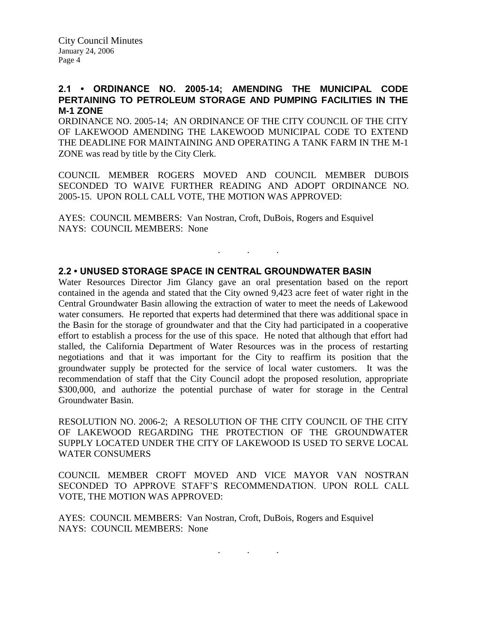## **2.1 • ORDINANCE NO. 2005-14; AMENDING THE MUNICIPAL CODE PERTAINING TO PETROLEUM STORAGE AND PUMPING FACILITIES IN THE M-1 ZONE**

ORDINANCE NO. 2005-14; AN ORDINANCE OF THE CITY COUNCIL OF THE CITY OF LAKEWOOD AMENDING THE LAKEWOOD MUNICIPAL CODE TO EXTEND THE DEADLINE FOR MAINTAINING AND OPERATING A TANK FARM IN THE M-1 ZONE was read by title by the City Clerk.

COUNCIL MEMBER ROGERS MOVED AND COUNCIL MEMBER DUBOIS SECONDED TO WAIVE FURTHER READING AND ADOPT ORDINANCE NO. 2005-15. UPON ROLL CALL VOTE, THE MOTION WAS APPROVED:

. . .

AYES: COUNCIL MEMBERS: Van Nostran, Croft, DuBois, Rogers and Esquivel NAYS: COUNCIL MEMBERS: None

#### **2.2 • UNUSED STORAGE SPACE IN CENTRAL GROUNDWATER BASIN**

Water Resources Director Jim Glancy gave an oral presentation based on the report contained in the agenda and stated that the City owned 9,423 acre feet of water right in the Central Groundwater Basin allowing the extraction of water to meet the needs of Lakewood water consumers. He reported that experts had determined that there was additional space in the Basin for the storage of groundwater and that the City had participated in a cooperative effort to establish a process for the use of this space. He noted that although that effort had stalled, the California Department of Water Resources was in the process of restarting negotiations and that it was important for the City to reaffirm its position that the groundwater supply be protected for the service of local water customers. It was the recommendation of staff that the City Council adopt the proposed resolution, appropriate \$300,000, and authorize the potential purchase of water for storage in the Central Groundwater Basin.

RESOLUTION NO. 2006-2; A RESOLUTION OF THE CITY COUNCIL OF THE CITY OF LAKEWOOD REGARDING THE PROTECTION OF THE GROUNDWATER SUPPLY LOCATED UNDER THE CITY OF LAKEWOOD IS USED TO SERVE LOCAL WATER CONSUMERS

COUNCIL MEMBER CROFT MOVED AND VICE MAYOR VAN NOSTRAN SECONDED TO APPROVE STAFF'S RECOMMENDATION. UPON ROLL CALL VOTE, THE MOTION WAS APPROVED:

AYES: COUNCIL MEMBERS: Van Nostran, Croft, DuBois, Rogers and Esquivel NAYS: COUNCIL MEMBERS: None

. . .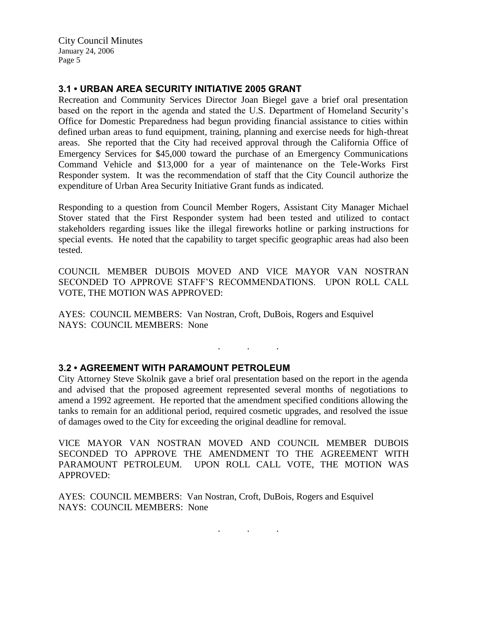# **3.1 • URBAN AREA SECURITY INITIATIVE 2005 GRANT**

Recreation and Community Services Director Joan Biegel gave a brief oral presentation based on the report in the agenda and stated the U.S. Department of Homeland Security's Office for Domestic Preparedness had begun providing financial assistance to cities within defined urban areas to fund equipment, training, planning and exercise needs for high-threat areas. She reported that the City had received approval through the California Office of Emergency Services for \$45,000 toward the purchase of an Emergency Communications Command Vehicle and \$13,000 for a year of maintenance on the Tele-Works First Responder system. It was the recommendation of staff that the City Council authorize the expenditure of Urban Area Security Initiative Grant funds as indicated.

Responding to a question from Council Member Rogers, Assistant City Manager Michael Stover stated that the First Responder system had been tested and utilized to contact stakeholders regarding issues like the illegal fireworks hotline or parking instructions for special events. He noted that the capability to target specific geographic areas had also been tested.

COUNCIL MEMBER DUBOIS MOVED AND VICE MAYOR VAN NOSTRAN SECONDED TO APPROVE STAFF'S RECOMMENDATIONS. UPON ROLL CALL VOTE, THE MOTION WAS APPROVED:

AYES: COUNCIL MEMBERS: Van Nostran, Croft, DuBois, Rogers and Esquivel NAYS: COUNCIL MEMBERS: None

## **3.2 • AGREEMENT WITH PARAMOUNT PETROLEUM**

City Attorney Steve Skolnik gave a brief oral presentation based on the report in the agenda and advised that the proposed agreement represented several months of negotiations to amend a 1992 agreement. He reported that the amendment specified conditions allowing the tanks to remain for an additional period, required cosmetic upgrades, and resolved the issue of damages owed to the City for exceeding the original deadline for removal.

. . .

VICE MAYOR VAN NOSTRAN MOVED AND COUNCIL MEMBER DUBOIS SECONDED TO APPROVE THE AMENDMENT TO THE AGREEMENT WITH PARAMOUNT PETROLEUM. UPON ROLL CALL VOTE, THE MOTION WAS APPROVED:

AYES: COUNCIL MEMBERS: Van Nostran, Croft, DuBois, Rogers and Esquivel NAYS: COUNCIL MEMBERS: None

. . .